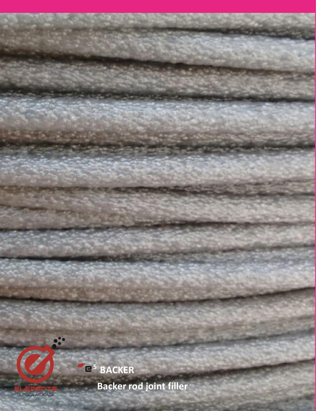



**Backer rod joint filler**

**5**

 **BACKER STANDAR** 

QUÍMICA APLICADA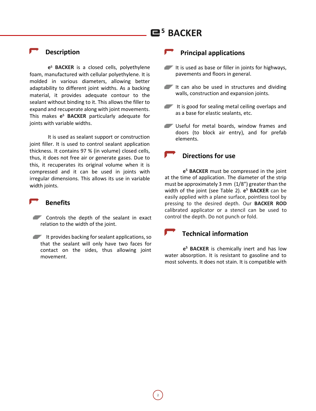# **5 BACKER**

### **Description**

**e <sup>5</sup> BACKER** is a closed cells, polyethylene foam, manufactured with cellular polyethylene. It is molded in various diameters, allowing better adaptability to different joint widths. As a backing material, it provides adequate contour to the sealant without binding to it. This allows the filler to expand and recuperate along with joint movements. This makes **e <sup>5</sup> BACKER** particularly adequate for joints with variable widths.

It is used as sealant support or construction joint filler. It is used to control sealant application thickness. It contains 97 % (in volume) closed cells, thus, it does not free air or generate gases. Due to this, it recuperates its original volume when it is compressed and it can be used in joints with irregular dimensions. This allows its use in variable width joints.

#### **Benefits**

- Controls the depth of the sealant in exact relation to the width of the joint.
- $\blacksquare$  It provides backing for sealant applications, so that the sealant will only have two faces for contact on the sides, thus allowing joint movement.

### **Principal applications**

- $\blacksquare$  It is used as base or filler in joints for highways, pavements and floors in general.
- It can also be used in structures and dividing walls, construction and expansion joints.
- It is good for sealing metal ceiling overlaps and as a base for elastic sealants, etc.
- Useful for metal boards, window frames and doors (to block air entry), and for prefab elements.

# **Directions for use**

**e <sup>5</sup> BACKER** must be compressed in the joint at the time of application. The diameter of the strip must be approximately 3 mm (1/8") greater than the width of the joint (see Table 2). **e <sup>5</sup> BACKER** can be easily applied with a plane surface, pointless tool by pressing to the desired depth. Our **BACKER ROD** calibrated applicator or a stencil can be used to control the depth. Do not punch or fold.

# **Technical information**

**e <sup>5</sup> BACKER** is chemically inert and has low water absorption. It is resistant to gasoline and to most solvents. It does not stain. It is compatible with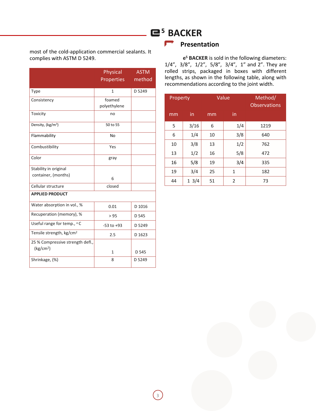most of the cold-application commercial sealants. It complies with ASTM D 5249.

|                                      | <b>Physical</b><br><b>Properties</b> | <b>ASTM</b><br>method |
|--------------------------------------|--------------------------------------|-----------------------|
| Type                                 | 1                                    | D 5249                |
| Consistency                          | foamed<br>polyethylene               |                       |
| Toxicity                             | no                                   |                       |
| Density, (kg/m <sup>3</sup> )        | 50 to 55                             |                       |
| Flammability                         | No                                   |                       |
| Combustibility                       | Yes                                  |                       |
| Color                                | gray                                 |                       |
| Stability in original                |                                      |                       |
| container, (months)                  | 6                                    |                       |
| Cellular structure                   | closed                               |                       |
| <b>APPLIED PRODUCT</b>               |                                      |                       |
| Water absorption in vol., %          | 0.01                                 | D 1016                |
| Recuperation (memory), %             | > 95                                 | D 545                 |
| Useful range for temp., °C           | $-53$ to $+93$                       | D 5249                |
| Tensile strength, kg/cm <sup>2</sup> | 2.5                                  | D 1623                |
| 25 % Compressive strength defl.,     |                                      |                       |
| (kg/cm <sup>2</sup> )                | $\mathbf{1}$                         | D 545                 |
| Shrinkage, (%)                       | D 5249<br>8                          |                       |

# **5 BACKER**

### **P** Presentation

**e <sup>5</sup> BACKER** is sold in the following diameters: 1/4", 3/8", 1/2", 5/8", 3/4", 1" and 2". They are rolled strips, packaged in boxes with different lengths, as shown in the following table, along with recommendations according to the joint width.

| Property |      | Value |     | Method/<br><b>Observations</b> |
|----------|------|-------|-----|--------------------------------|
| mm       | in.  | mm    | in  |                                |
| 5        | 3/16 | 6     | 1/4 | 1219                           |
| 6        | 1/4  | 10    | 3/8 | 640                            |
| 10       | 3/8  | 13    | 1/2 | 762                            |
| 13       | 1/2  | 16    | 5/8 | 472                            |
| 16       | 5/8  | 19    | 3/4 | 335                            |
| 19       | 3/4  | 25    | 1   | 182                            |
| 44       | 13/4 | 51    | 2   | 73                             |